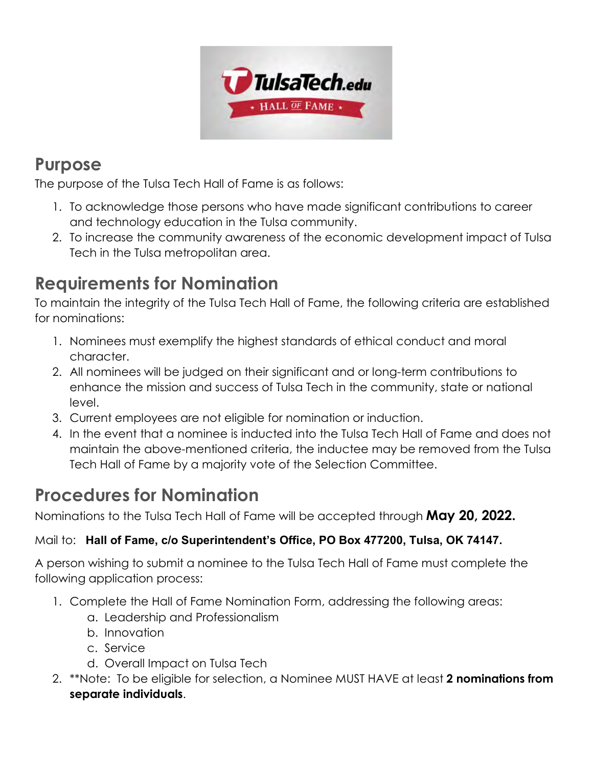

### **Purpose**

The purpose of the Tulsa Tech Hall of Fame is as follows:

- 1. To acknowledge those persons who have made significant contributions to career and technology education in the Tulsa community.
- 2. To increase the community awareness of the economic development impact of Tulsa Tech in the Tulsa metropolitan area.

## **Requirements for Nomination**

To maintain the integrity of the Tulsa Tech Hall of Fame, the following criteria are established for nominations:

- 1. Nominees must exemplify the highest standards of ethical conduct and moral character.
- 2. All nominees will be judged on their significant and or long-term contributions to enhance the mission and success of Tulsa Tech in the community, state or national level.
- 3. Current employees are not eligible for nomination or induction.
- 4. In the event that a nominee is inducted into the Tulsa Tech Hall of Fame and does not maintain the above-mentioned criteria, the inductee may be removed from the Tulsa Tech Hall of Fame by a majority vote of the Selection Committee.

## **Procedures for Nomination**

Nominations to the Tulsa Tech Hall of Fame will be accepted through **May 20, 2022.**

#### Mail to: **Hall of Fame, c/o Superintendent's Office, PO Box 477200, Tulsa, OK 74147.**

A person wishing to submit a nominee to the Tulsa Tech Hall of Fame must complete the following application process:

- 1. Complete the Hall of Fame Nomination Form, addressing the following areas:
	- a. Leadership and Professionalism
	- b. Innovation
	- c. Service
	- d. Overall Impact on Tulsa Tech
- 2. \*\*Note: To be eligible for selection, a Nominee MUST HAVE at least **2 nominations from separate individuals**.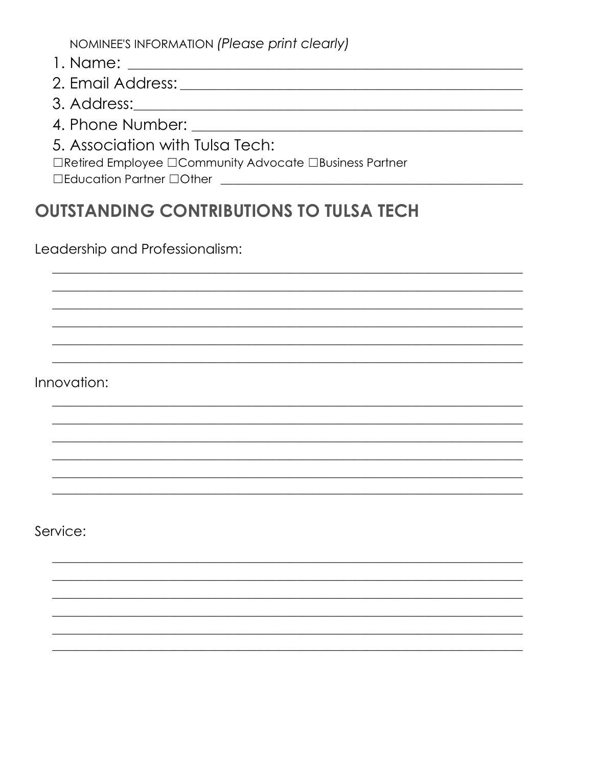NOMINEE'S INFORMATION (Please print clearly)

- 
- 
- 3. Address: 2008 2010 2020 2020 2021 2021 2022 2021 2022 2021 2022 2022 2022 2021 2022 2022 2022 2022 2022 20
- 4. Phone Number:
- 5. Association with Tulsa Tech:

□Retired Employee □Community Advocate □Business Partner

□Education Partner □Other

# **OUTSTANDING CONTRIBUTIONS TO TULSA TECH**

Leadership and Professionalism:

Innovation:

Service: